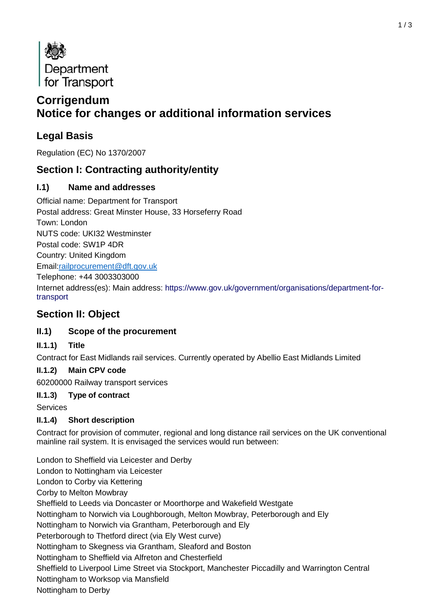

# **Corrigendum Notice for changes or additional information services**

# **Legal Basis**

Regulation (EC) No 1370/2007

# **Section I: Contracting authority/entity**

### **I.1) Name and addresses**

Official name: Department for Transport Postal address: Great Minster House, 33 Horseferry Road Town: London NUTS code: UKI32 Westminster Postal code: SW1P 4DR Country: United Kingdom Email[:railprocurement@dft.gov.uk](mailto:railprocurement@dft.gov.uk) Telephone: +44 3003303000 Internet address(es): Main address: [https://www.gov.uk/government/organisations/department-for](https://www.gov.uk/government/organisations/department-for-transport)[transport](https://www.gov.uk/government/organisations/department-for-transport)

# **Section II: Object**

### **II.1) Scope of the procurement**

#### **II.1.1) Title**

Contract for East Midlands rail services. Currently operated by Abellio East Midlands Limited

#### **II.1.2) Main CPV code**

60200000 Railway transport services

#### **II.1.3) Type of contract**

**Services** 

#### **II.1.4) Short description**

Contract for provision of commuter, regional and long distance rail services on the UK conventional mainline rail system. It is envisaged the services would run between:

London to Sheffield via Leicester and Derby London to Nottingham via Leicester London to Corby via Kettering Corby to Melton Mowbray Sheffield to Leeds via Doncaster or Moorthorpe and Wakefield Westgate Nottingham to Norwich via Loughborough, Melton Mowbray, Peterborough and Ely Nottingham to Norwich via Grantham, Peterborough and Ely Peterborough to Thetford direct (via Ely West curve) Nottingham to Skegness via Grantham, Sleaford and Boston Nottingham to Sheffield via Alfreton and Chesterfield Sheffield to Liverpool Lime Street via Stockport, Manchester Piccadilly and Warrington Central Nottingham to Worksop via Mansfield Nottingham to Derby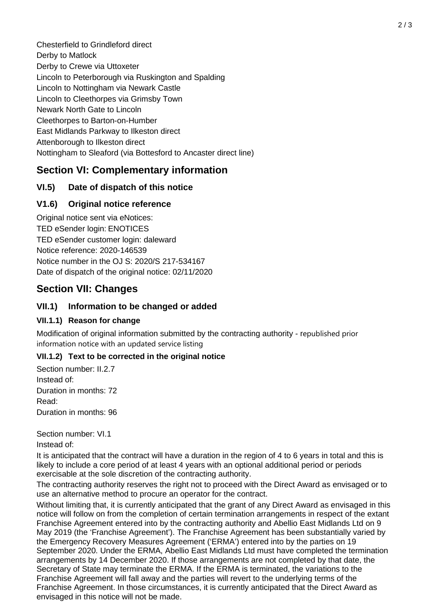Chesterfield to Grindleford direct Derby to Matlock Derby to Crewe via Uttoxeter Lincoln to Peterborough via Ruskington and Spalding Lincoln to Nottingham via Newark Castle Lincoln to Cleethorpes via Grimsby Town Newark North Gate to Lincoln Cleethorpes to Barton-on-Humber East Midlands Parkway to Ilkeston direct Attenborough to Ilkeston direct Nottingham to Sleaford (via Bottesford to Ancaster direct line)

# **Section VI: Complementary information**

### **VI.5) Date of dispatch of this notice**

### **V1.6) Original notice reference**

Original notice sent via eNotices: TED eSender login: ENOTICES TED eSender customer login: daleward Notice reference: 2020-146539 Notice number in the OJ S: [2020/S 217-534167](http://ted.europa.eu/udl?uri=TED%3ANOTICE%3A534167-2020%3ATEXT%3AEN%3AHTML) Date of dispatch of the original notice: 02/11/2020

### **Section VII: Changes**

#### **VII.1) Information to be changed or added**

#### **VII.1.1) Reason for change**

Modification of original information submitted by the contracting authority - republished prior information notice with an updated service listing

#### **VII.1.2) Text to be corrected in the original notice**

Section number: II.2.7 Instead of: Duration in months: 72 Read: Duration in months: 96

Section number: VI.1

Instead of:

It is anticipated that the contract will have a duration in the region of 4 to 6 years in total and this is likely to include a core period of at least 4 years with an optional additional period or periods exercisable at the sole discretion of the contracting authority.

The contracting authority reserves the right not to proceed with the Direct Award as envisaged or to use an alternative method to procure an operator for the contract.

Without limiting that, it is currently anticipated that the grant of any Direct Award as envisaged in this notice will follow on from the completion of certain termination arrangements in respect of the extant Franchise Agreement entered into by the contracting authority and Abellio East Midlands Ltd on 9 May 2019 (the 'Franchise Agreement'). The Franchise Agreement has been substantially varied by the Emergency Recovery Measures Agreement ('ERMA') entered into by the parties on 19 September 2020. Under the ERMA, Abellio East Midlands Ltd must have completed the termination arrangements by 14 December 2020. If those arrangements are not completed by that date, the Secretary of State may terminate the ERMA. If the ERMA is terminated, the variations to the Franchise Agreement will fall away and the parties will revert to the underlying terms of the Franchise Agreement. In those circumstances, it is currently anticipated that the Direct Award as envisaged in this notice will not be made.